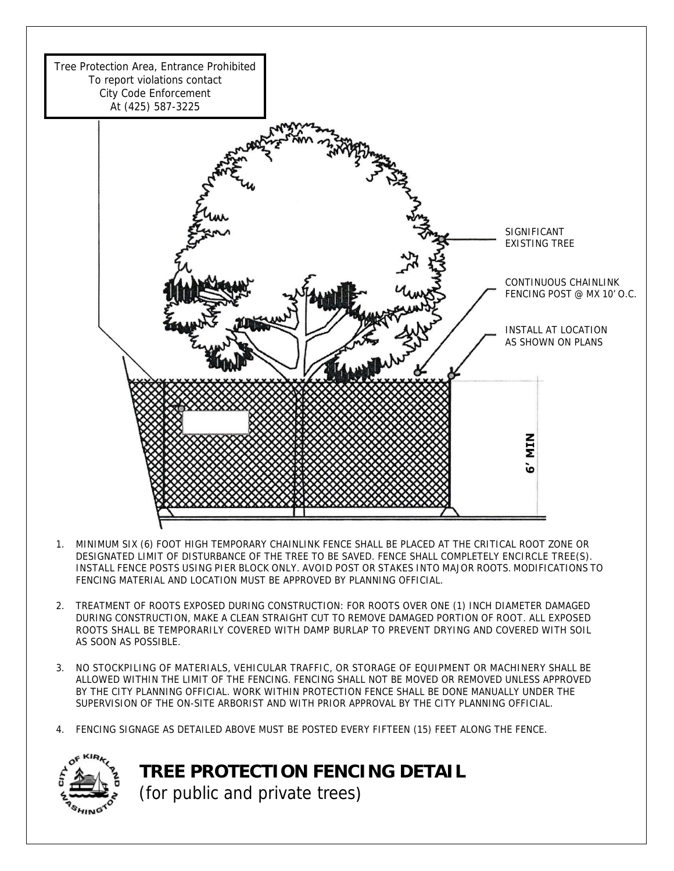

- 1. MINIMUM SIX (6) FOOT HIGH TEMPORARY CHAINLINK FENCE SHALL BE PLACED AT THE CRITICAL ROOT ZONE OR DESIGNATED LIMIT OF DISTURBANCE OF THE TREE TO BE SAVED. FENCE SHALL COMPLETELY ENCIRCLE TREE(S). INSTALL FENCE POSTS USING PIER BLOCK ONLY. AVOID POST OR STAKES INTO MAJOR ROOTS. MODIFICATIONS TO FENCING MATERIAL AND LOCATION MUST BE APPROVED BY PLANNING OFFICIAL.
- 2. TREATMENT OF ROOTS EXPOSED DURING CONSTRUCTION: FOR ROOTS OVER ONE (1) INCH DIAMETER DAMAGED DURING CONSTRUCTION, MAKE A CLEAN STRAIGHT CUT TO REMOVE DAMAGED PORTION OF ROOT. ALL EXPOSED ROOTS SHALL BE TEMPORARILY COVERED WITH DAMP BURLAP TO PREVENT DRYING AND COVERED WITH SOIL AS SOON AS POSSIBLE.
- 3. NO STOCKPILING OF MATERIALS, VEHICULAR TRAFFIC, OR STORAGE OF EQUIPMENT OR MACHINERY SHALL BE ALLOWED WITHIN THE LIMIT OF THE FENCING. FENCING SHALL NOT BE MOVED OR REMOVED UNLESS APPROVED BY THE CITY PLANNING OFFICIAL. WORK WITHIN PROTECTION FENCE SHALL BE DONE MANUALLY UNDER THE SUPERVISION OF THE ON-SITE ARBORIST AND WITH PRIOR APPROVAL BY THE CITY PLANNING OFFICIAL.
- 4. FENCING SIGNAGE AS DETAILED ABOVE MUST BE POSTED EVERY FIFTEEN (15) FEET ALONG THE FENCE.



**TREE PROTECTION FENCING DETAIL**  (for public and private trees)